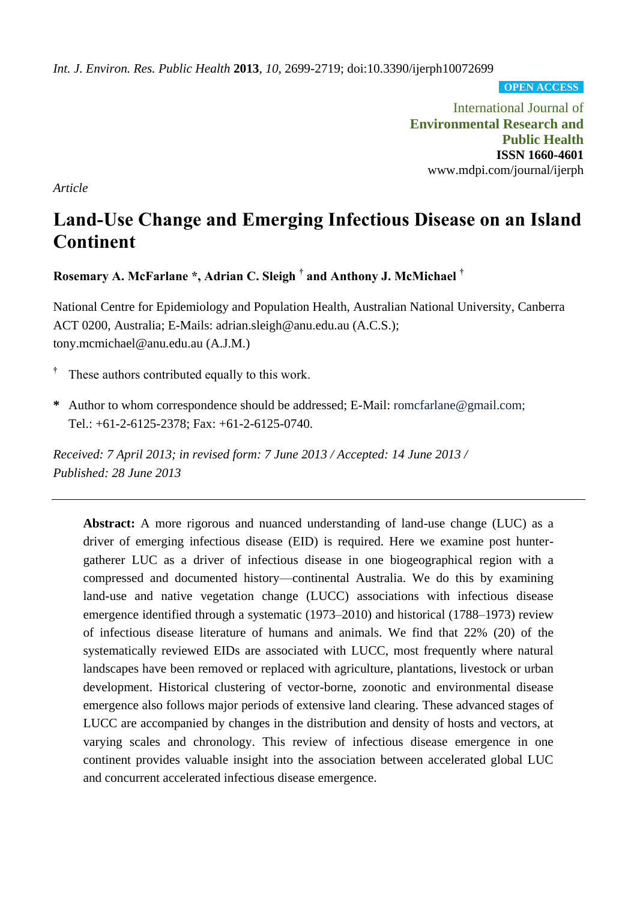*Int. J. Environ. Res. Public Health* **2013**, *10*, 2699-2719; doi:10.3390/ijerph10072699

**OPEN ACCESS**

International Journal of **Environmental Research and Public Health ISSN 1660-4601** www.mdpi.com/journal/ijerph

*Article*

# **Land-Use Change and Emerging Infectious Disease on an Island Continent**

**Rosemary A. McFarlane \*, Adrian C. Sleigh † and Anthony J. McMichael †**

National Centre for Epidemiology and Population Health, Australian National University, Canberra ACT 0200, Australia; E-Mails: adrian.sleigh@anu.edu.au (A.C.S.); tony.mcmichael@anu.edu.au (A.J.M.)

- **†** These authors contributed equally to this work.
- **\*** Author to whom correspondence should be addressed; E-Mail: romcfarlane@gmail.com; Tel.: +61-2-6125-2378; Fax: +61-2-6125-0740.

*Received: 7 April 2013; in revised form: 7 June 2013 / Accepted: 14 June 2013 / Published: 28 June 2013*

**Abstract:** A more rigorous and nuanced understanding of land-use change (LUC) as a driver of emerging infectious disease (EID) is required. Here we examine post huntergatherer LUC as a driver of infectious disease in one biogeographical region with a compressed and documented history—continental Australia. We do this by examining land-use and native vegetation change (LUCC) associations with infectious disease emergence identified through a systematic (1973–2010) and historical (1788–1973) review of infectious disease literature of humans and animals. We find that 22% (20) of the systematically reviewed EIDs are associated with LUCC, most frequently where natural landscapes have been removed or replaced with agriculture, plantations, livestock or urban development. Historical clustering of vector-borne, zoonotic and environmental disease emergence also follows major periods of extensive land clearing. These advanced stages of LUCC are accompanied by changes in the distribution and density of hosts and vectors, at varying scales and chronology. This review of infectious disease emergence in one continent provides valuable insight into the association between accelerated global LUC and concurrent accelerated infectious disease emergence.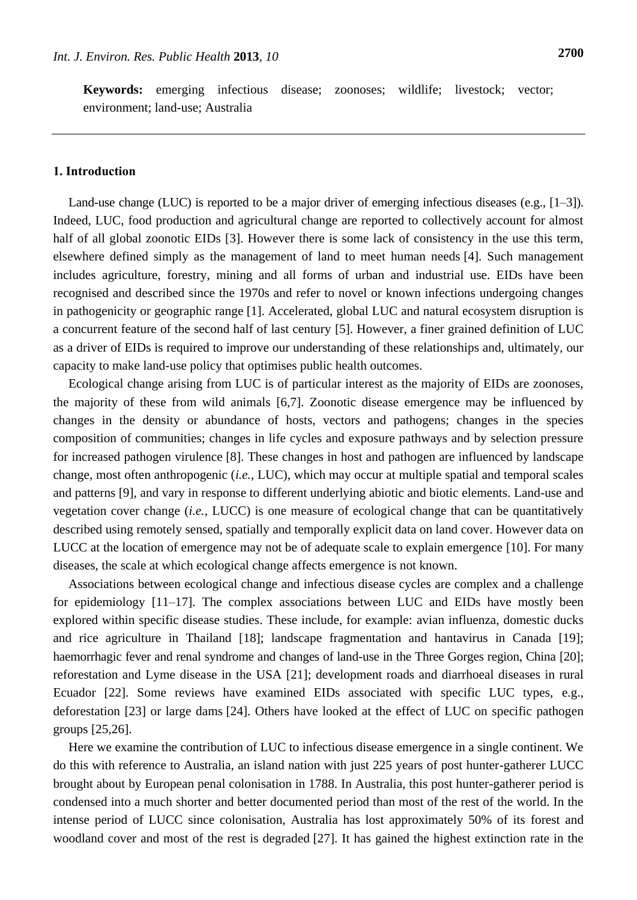**Keywords:** emerging infectious disease; zoonoses; wildlife; livestock; vector; environment; land-use; Australia

# **1. Introduction**

Land-use change (LUC) is reported to be a major driver of emerging infectious diseases (e.g., [1–3]). Indeed, LUC, food production and agricultural change are reported to collectively account for almost half of all global zoonotic EIDs [3]. However there is some lack of consistency in the use this term, elsewhere defined simply as the management of land to meet human needs [4]. Such management includes agriculture, forestry, mining and all forms of urban and industrial use. EIDs have been recognised and described since the 1970s and refer to novel or known infections undergoing changes in pathogenicity or geographic range [1]. Accelerated, global LUC and natural ecosystem disruption is a concurrent feature of the second half of last century [5]. However, a finer grained definition of LUC as a driver of EIDs is required to improve our understanding of these relationships and, ultimately, our capacity to make land-use policy that optimises public health outcomes.

Ecological change arising from LUC is of particular interest as the majority of EIDs are zoonoses, the majority of these from wild animals [6,7]. Zoonotic disease emergence may be influenced by changes in the density or abundance of hosts, vectors and pathogens; changes in the species composition of communities; changes in life cycles and exposure pathways and by selection pressure for increased pathogen virulence [8]. These changes in host and pathogen are influenced by landscape change, most often anthropogenic (*i.e.*, LUC), which may occur at multiple spatial and temporal scales and patterns [9], and vary in response to different underlying abiotic and biotic elements. Land-use and vegetation cover change (*i.e.*, LUCC) is one measure of ecological change that can be quantitatively described using remotely sensed, spatially and temporally explicit data on land cover. However data on LUCC at the location of emergence may not be of adequate scale to explain emergence [10]. For many diseases, the scale at which ecological change affects emergence is not known.

Associations between ecological change and infectious disease cycles are complex and a challenge for epidemiology [11–17]. The complex associations between LUC and EIDs have mostly been explored within specific disease studies. These include, for example: avian influenza, domestic ducks and rice agriculture in Thailand [18]; landscape fragmentation and hantavirus in Canada [19]; haemorrhagic fever and renal syndrome and changes of land-use in the Three Gorges region, China [20]; reforestation and Lyme disease in the USA [21]; development roads and diarrhoeal diseases in rural Ecuador [22]. Some reviews have examined EIDs associated with specific LUC types, e.g., deforestation [23] or large dams [24]. Others have looked at the effect of LUC on specific pathogen groups [25,26].

Here we examine the contribution of LUC to infectious disease emergence in a single continent. We do this with reference to Australia, an island nation with just 225 years of post hunter-gatherer LUCC brought about by European penal colonisation in 1788. In Australia, this post hunter-gatherer period is condensed into a much shorter and better documented period than most of the rest of the world. In the intense period of LUCC since colonisation, Australia has lost approximately 50% of its forest and woodland cover and most of the rest is degraded [27]. It has gained the highest extinction rate in the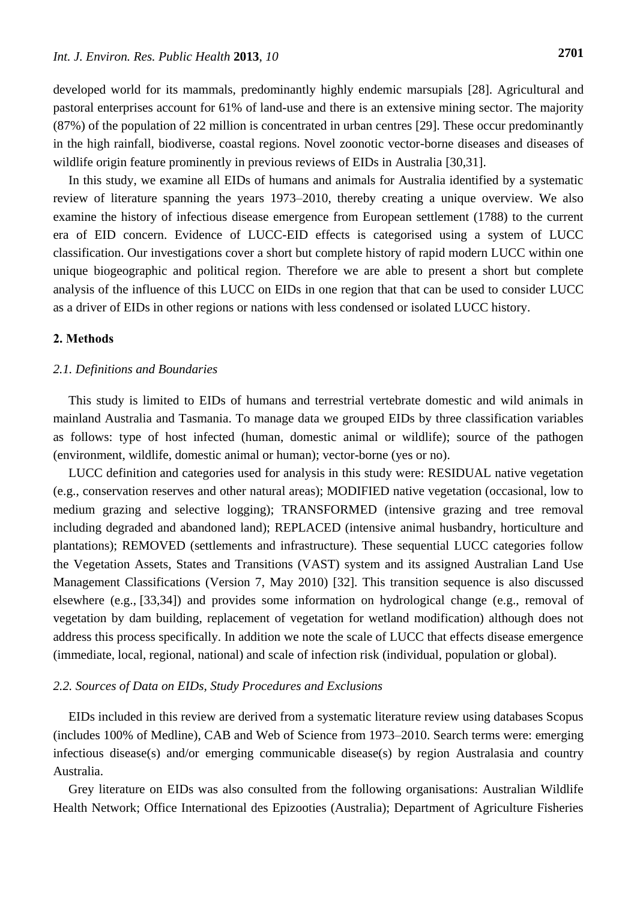developed world for its mammals, predominantly highly endemic marsupials [28]. Agricultural and pastoral enterprises account for 61% of land-use and there is an extensive mining sector. The majority (87%) of the population of 22 million is concentrated in urban centres [29]. These occur predominantly in the high rainfall, biodiverse, coastal regions. Novel zoonotic vector-borne diseases and diseases of wildlife origin feature prominently in previous reviews of EIDs in Australia [30,31].

In this study, we examine all EIDs of humans and animals for Australia identified by a systematic review of literature spanning the years 1973–2010, thereby creating a unique overview. We also examine the history of infectious disease emergence from European settlement (1788) to the current era of EID concern. Evidence of LUCC-EID effects is categorised using a system of LUCC classification. Our investigations cover a short but complete history of rapid modern LUCC within one unique biogeographic and political region. Therefore we are able to present a short but complete analysis of the influence of this LUCC on EIDs in one region that that can be used to consider LUCC as a driver of EIDs in other regions or nations with less condensed or isolated LUCC history.

# **2. Methods**

# *2.1. Definitions and Boundaries*

This study is limited to EIDs of humans and terrestrial vertebrate domestic and wild animals in mainland Australia and Tasmania. To manage data we grouped EIDs by three classification variables as follows: type of host infected (human, domestic animal or wildlife); source of the pathogen (environment, wildlife, domestic animal or human); vector-borne (yes or no).

LUCC definition and categories used for analysis in this study were: RESIDUAL native vegetation (e.g., conservation reserves and other natural areas); MODIFIED native vegetation (occasional, low to medium grazing and selective logging); TRANSFORMED (intensive grazing and tree removal including degraded and abandoned land); REPLACED (intensive animal husbandry, horticulture and plantations); REMOVED (settlements and infrastructure). These sequential LUCC categories follow the Vegetation Assets, States and Transitions (VAST) system and its assigned Australian Land Use Management Classifications (Version 7, May 2010) [32]. This transition sequence is also discussed elsewhere (e.g., [33,34]) and provides some information on hydrological change (e.g., removal of vegetation by dam building, replacement of vegetation for wetland modification) although does not address this process specifically. In addition we note the scale of LUCC that effects disease emergence (immediate, local, regional, national) and scale of infection risk (individual, population or global).

# *2.2. Sources of Data on EIDs, Study Procedures and Exclusions*

EIDs included in this review are derived from a systematic literature review using databases Scopus (includes 100% of Medline), CAB and Web of Science from 1973–2010. Search terms were: emerging infectious disease(s) and/or emerging communicable disease(s) by region Australasia and country Australia.

Grey literature on EIDs was also consulted from the following organisations: Australian Wildlife Health Network; Office International des Epizooties (Australia); Department of Agriculture Fisheries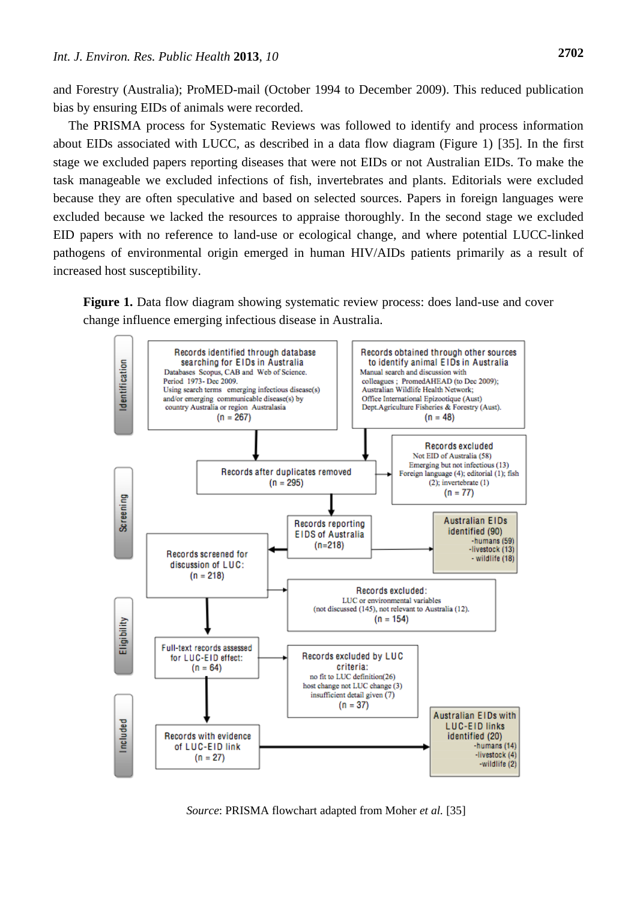and Forestry (Australia); ProMED-mail (October 1994 to December 2009). This reduced publication bias by ensuring EIDs of animals were recorded.

The PRISMA process for Systematic Reviews was followed to identify and process information about EIDs associated with LUCC, as described in a data flow diagram (Figure 1) [35]. In the first stage we excluded papers reporting diseases that were not EIDs or not Australian EIDs. To make the task manageable we excluded infections of fish, invertebrates and plants. Editorials were excluded because they are often speculative and based on selected sources. Papers in foreign languages were excluded because we lacked the resources to appraise thoroughly. In the second stage we excluded EID papers with no reference to land-use or ecological change, and where potential LUCC-linked pathogens of environmental origin emerged in human HIV/AIDs patients primarily as a result of increased host susceptibility.

**Figure 1.** Data flow diagram showing systematic review process: does land-use and cover change influence emerging infectious disease in Australia.



*Source*: PRISMA flowchart adapted from Moher *et al.* [35]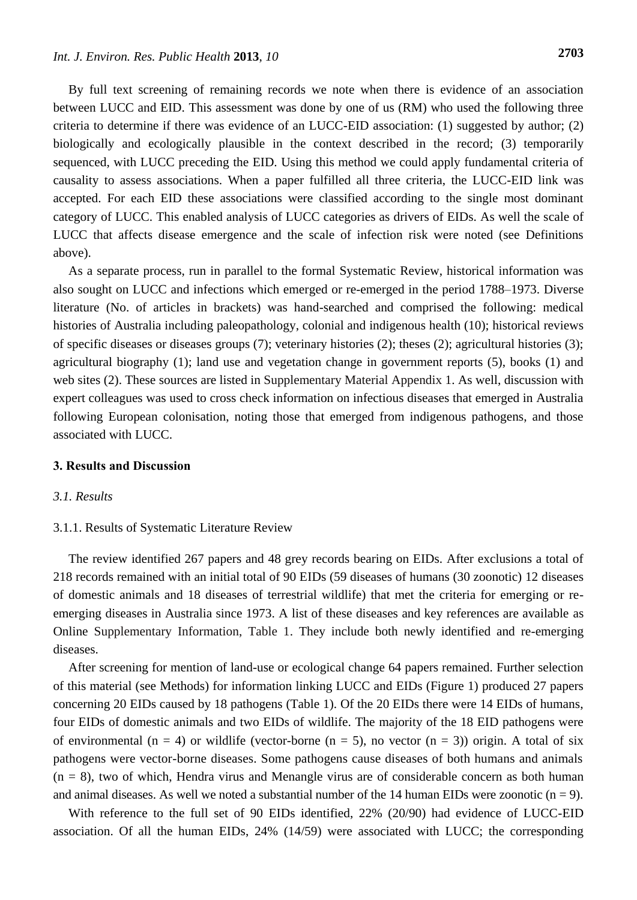By full text screening of remaining records we note when there is evidence of an association between LUCC and EID. This assessment was done by one of us (RM) who used the following three criteria to determine if there was evidence of an LUCC-EID association: (1) suggested by author; (2) biologically and ecologically plausible in the context described in the record; (3) temporarily sequenced, with LUCC preceding the EID. Using this method we could apply fundamental criteria of causality to assess associations. When a paper fulfilled all three criteria, the LUCC-EID link was accepted. For each EID these associations were classified according to the single most dominant category of LUCC. This enabled analysis of LUCC categories as drivers of EIDs. As well the scale of LUCC that affects disease emergence and the scale of infection risk were noted (see Definitions above).

As a separate process, run in parallel to the formal Systematic Review, historical information was also sought on LUCC and infections which emerged or re-emerged in the period 1788–1973. Diverse literature (No. of articles in brackets) was hand-searched and comprised the following: medical histories of Australia including paleopathology, colonial and indigenous health (10); historical reviews of specific diseases or diseases groups (7); veterinary histories (2); theses (2); agricultural histories (3); agricultural biography (1); land use and vegetation change in government reports (5), books (1) and web sites (2). These sources are listed in Supplementary Material Appendix 1. As well, discussion with expert colleagues was used to cross check information on infectious diseases that emerged in Australia following European colonisation, noting those that emerged from indigenous pathogens, and those associated with LUCC.

#### **3. Results and Discussion**

# *3.1. Results*

#### 3.1.1. Results of Systematic Literature Review

The review identified 267 papers and 48 grey records bearing on EIDs. After exclusions a total of 218 records remained with an initial total of 90 EIDs (59 diseases of humans (30 zoonotic) 12 diseases of domestic animals and 18 diseases of terrestrial wildlife) that met the criteria for emerging or reemerging diseases in Australia since 1973. A list of these diseases and key references are available as Online Supplementary Information, Table 1. They include both newly identified and re-emerging diseases.

After screening for mention of land-use or ecological change 64 papers remained. Further selection of this material (see Methods) for information linking LUCC and EIDs (Figure 1) produced 27 papers concerning 20 EIDs caused by 18 pathogens (Table 1). Of the 20 EIDs there were 14 EIDs of humans, four EIDs of domestic animals and two EIDs of wildlife. The majority of the 18 EID pathogens were of environmental (n = 4) or wildlife (vector-borne (n = 5), no vector (n = 3)) origin. A total of six pathogens were vector-borne diseases. Some pathogens cause diseases of both humans and animals  $(n = 8)$ , two of which, Hendra virus and Menangle virus are of considerable concern as both human and animal diseases. As well we noted a substantial number of the 14 human EIDs were zoonotic  $(n = 9)$ .

With reference to the full set of 90 EIDs identified, 22% (20/90) had evidence of LUCC-EID association. Of all the human EIDs, 24% (14/59) were associated with LUCC; the corresponding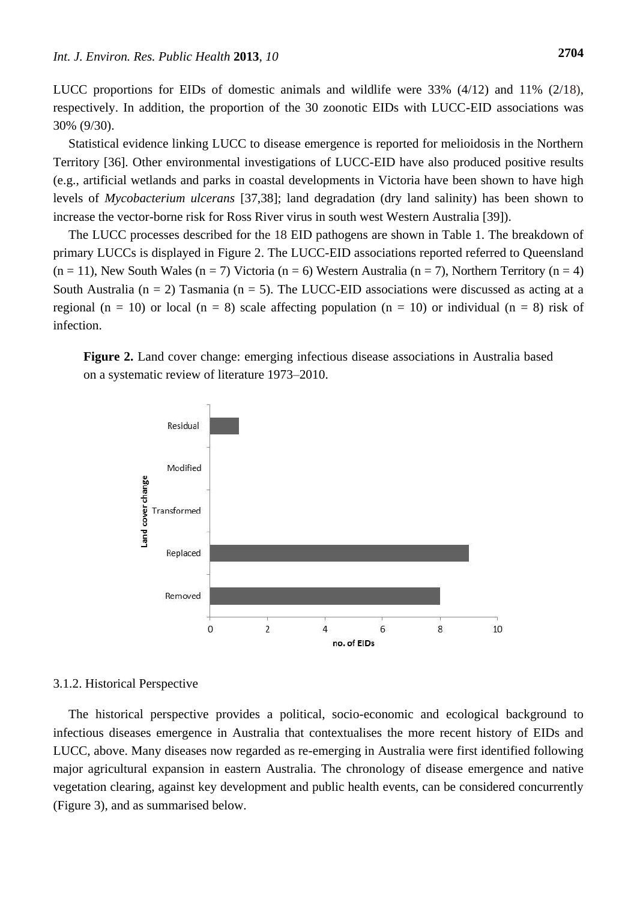LUCC proportions for EIDs of domestic animals and wildlife were 33% (4/12) and 11% (2/18), respectively. In addition, the proportion of the 30 zoonotic EIDs with LUCC-EID associations was 30% (9/30).

Statistical evidence linking LUCC to disease emergence is reported for melioidosis in the Northern Territory [36]. Other environmental investigations of LUCC-EID have also produced positive results (e.g., artificial wetlands and parks in coastal developments in Victoria have been shown to have high levels of *Mycobacterium ulcerans* [37,38]; land degradation (dry land salinity) has been shown to increase the vector-borne risk for Ross River virus in south west Western Australia [39]).

The LUCC processes described for the 18 EID pathogens are shown in Table 1. The breakdown of primary LUCCs is displayed in Figure 2. The LUCC-EID associations reported referred to Queensland  $(n = 11)$ , New South Wales  $(n = 7)$  Victoria  $(n = 6)$  Western Australia  $(n = 7)$ , Northern Territory  $(n = 4)$ South Australia ( $n = 2$ ) Tasmania ( $n = 5$ ). The LUCC-EID associations were discussed as acting at a regional (n = 10) or local (n = 8) scale affecting population (n = 10) or individual (n = 8) risk of infection.

**Figure 2.** Land cover change: emerging infectious disease associations in Australia based on a systematic review of literature 1973–2010.



#### 3.1.2. Historical Perspective

The historical perspective provides a political, socio-economic and ecological background to infectious diseases emergence in Australia that contextualises the more recent history of EIDs and LUCC, above. Many diseases now regarded as re-emerging in Australia were first identified following major agricultural expansion in eastern Australia. The chronology of disease emergence and native vegetation clearing, against key development and public health events, can be considered concurrently (Figure 3), and as summarised below.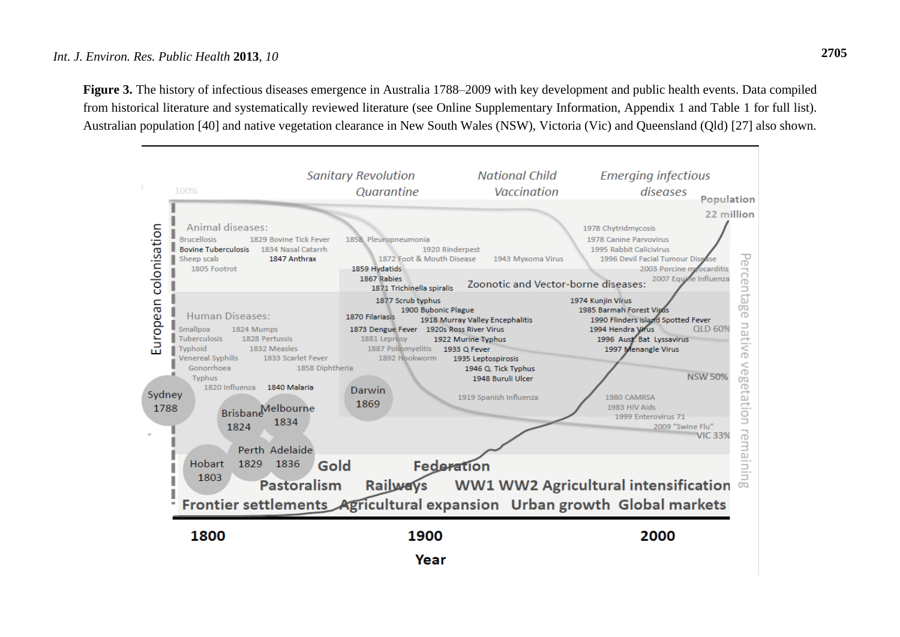# *Int. J. Environ. Res. Public Health* **2013**, *10* **2705**

Figure 3. The history of infectious diseases emergence in Australia 1788–2009 with key development and public health events. Data compiled from historical literature and systematically reviewed literature (see Online Supplementary Information, Appendix 1 and Table 1 for full list). Australian population [40] and native vegetation clearance in New South Wales (NSW), Victoria (Vic) and Queensland (Qld) [27] also shown.

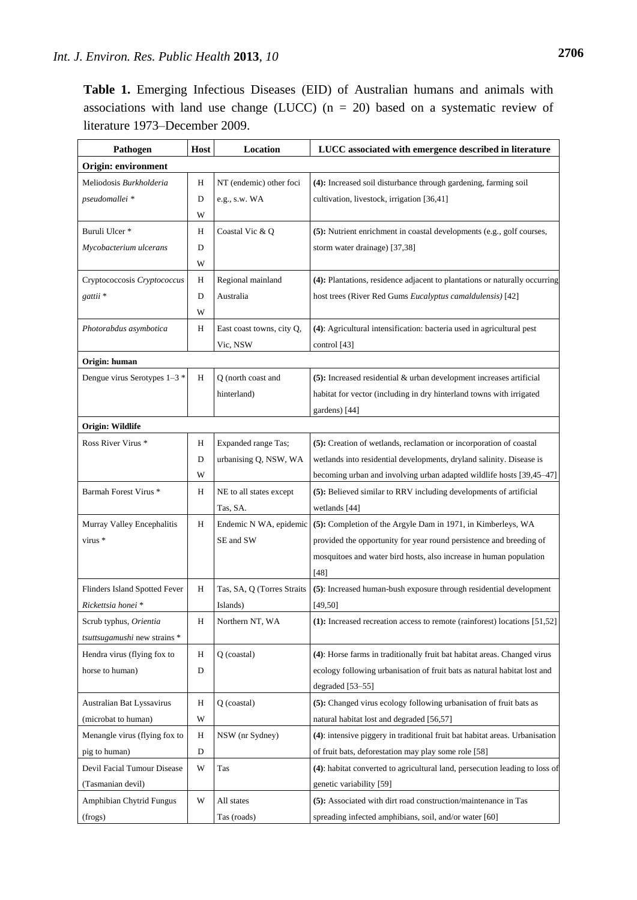**Table 1.** Emerging Infectious Diseases (EID) of Australian humans and animals with associations with land use change (LUCC) ( $n = 20$ ) based on a systematic review of literature 1973–December 2009.

| Pathogen                            | Host | Location                   | LUCC associated with emergence described in literature                      |  |  |
|-------------------------------------|------|----------------------------|-----------------------------------------------------------------------------|--|--|
| Origin: environment                 |      |                            |                                                                             |  |  |
| Meliodosis Burkholderia             | Η    | NT (endemic) other foci    | (4): Increased soil disturbance through gardening, farming soil             |  |  |
| pseudomallei *                      | D    | e.g., s.w. WA              | cultivation, livestock, irrigation [36,41]                                  |  |  |
|                                     | W    |                            |                                                                             |  |  |
| Buruli Ulcer*                       | Η    | Coastal Vic & Q            | (5): Nutrient enrichment in coastal developments (e.g., golf courses,       |  |  |
| Mycobacterium ulcerans              | D    |                            | storm water drainage) [37,38]                                               |  |  |
|                                     | W    |                            |                                                                             |  |  |
| Cryptococcosis Cryptococcus         | Η    | Regional mainland          | (4): Plantations, residence adjacent to plantations or naturally occurring  |  |  |
| gattii*                             | D    | Australia                  | host trees (River Red Gums Eucalyptus camaldulensis) [42]                   |  |  |
|                                     | W    |                            |                                                                             |  |  |
| Photorabdus asymbotica              | Н    | East coast towns, city Q,  | (4): Agricultural intensification: bacteria used in agricultural pest       |  |  |
|                                     |      | Vic, NSW                   | control [43]                                                                |  |  |
| Origin: human                       |      |                            |                                                                             |  |  |
| Dengue virus Serotypes 1-3 *        | Η    | Q (north coast and         | $(5)$ : Increased residential & urban development increases artificial      |  |  |
|                                     |      | hinterland)                | habitat for vector (including in dry hinterland towns with irrigated        |  |  |
|                                     |      |                            | gardens) [44]                                                               |  |  |
| Origin: Wildlife                    |      |                            |                                                                             |  |  |
| Ross River Virus *                  | Η    | Expanded range Tas;        | (5): Creation of wetlands, reclamation or incorporation of coastal          |  |  |
|                                     | D    | urbanising Q, NSW, WA      | wetlands into residential developments, dryland salinity. Disease is        |  |  |
|                                     | W    |                            | becoming urban and involving urban adapted wildlife hosts [39,45-47]        |  |  |
| Barmah Forest Virus *               | Н    | NE to all states except    | (5): Believed similar to RRV including developments of artificial           |  |  |
|                                     |      | Tas, SA.                   | wetlands [44]                                                               |  |  |
| Murray Valley Encephalitis          | Η    | Endemic N WA, epidemic     | (5): Completion of the Argyle Dam in 1971, in Kimberleys, WA                |  |  |
| virus *                             |      | SE and SW                  | provided the opportunity for year round persistence and breeding of         |  |  |
|                                     |      |                            | mosquitoes and water bird hosts, also increase in human population          |  |  |
|                                     |      |                            | [48]                                                                        |  |  |
| Flinders Island Spotted Fever       | Η    | Tas, SA, Q (Torres Straits | (5): Increased human-bush exposure through residential development          |  |  |
| Rickettsia honei *                  |      | Islands)                   | [49, 50]                                                                    |  |  |
| Scrub typhus, Orientia              | Η    | Northern NT, WA            | (1): Increased recreation access to remote (rainforest) locations [51,52]   |  |  |
| <i>tsuttsugamushi</i> new strains * |      |                            |                                                                             |  |  |
| Hendra virus (flying fox to         | Η    | Q (coastal)                | (4): Horse farms in traditionally fruit bat habitat areas. Changed virus    |  |  |
| horse to human)                     | D    |                            | ecology following urbanisation of fruit bats as natural habitat lost and    |  |  |
|                                     |      |                            | degraded $[53-55]$                                                          |  |  |
| Australian Bat Lyssavirus           | Н    | Q (coastal)                | (5): Changed virus ecology following urbanisation of fruit bats as          |  |  |
| (microbat to human)                 | W    |                            | natural habitat lost and degraded [56,57]                                   |  |  |
| Menangle virus (flying fox to       | Η    | NSW (nr Sydney)            | (4): intensive piggery in traditional fruit bat habitat areas. Urbanisation |  |  |
| pig to human)                       | D    |                            | of fruit bats, deforestation may play some role [58]                        |  |  |
| Devil Facial Tumour Disease         | W    | Tas                        | (4): habitat converted to agricultural land, persecution leading to loss of |  |  |
| (Tasmanian devil)                   |      |                            | genetic variability [59]                                                    |  |  |
| Amphibian Chytrid Fungus            | W    | All states                 | (5): Associated with dirt road construction/maintenance in Tas              |  |  |
| (frogs)                             |      | Tas (roads)                | spreading infected amphibians, soil, and/or water [60]                      |  |  |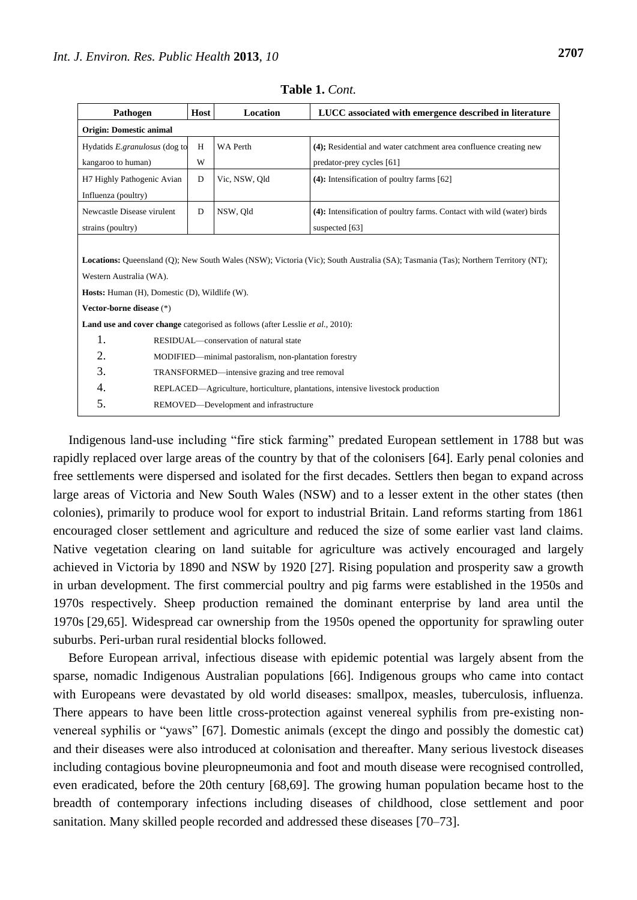| Pathogen                                                                                                                                | Host                                                                            | <b>Location</b> | LUCC associated with emergence described in literature                 |  |  |
|-----------------------------------------------------------------------------------------------------------------------------------------|---------------------------------------------------------------------------------|-----------------|------------------------------------------------------------------------|--|--|
| <b>Origin: Domestic animal</b>                                                                                                          |                                                                                 |                 |                                                                        |  |  |
| Hydatids E.granulosus (dog to                                                                                                           | H                                                                               | <b>WA Perth</b> | (4); Residential and water catchment area confluence creating new      |  |  |
| kangaroo to human)                                                                                                                      | W                                                                               |                 | predator-prey cycles [61]                                              |  |  |
| H7 Highly Pathogenic Avian                                                                                                              | D                                                                               | Vic, NSW, Old   | $(4)$ : Intensification of poultry farms [62]                          |  |  |
| Influenza (poultry)                                                                                                                     |                                                                                 |                 |                                                                        |  |  |
| Newcastle Disease virulent                                                                                                              | D                                                                               | NSW, Old        | (4): Intensification of poultry farms. Contact with wild (water) birds |  |  |
| strains (poultry)                                                                                                                       |                                                                                 |                 | suspected [63]                                                         |  |  |
|                                                                                                                                         |                                                                                 |                 |                                                                        |  |  |
| <b>Locations:</b> Queensland (O); New South Wales (NSW); Victoria (Vic); South Australia (SA); Tasmania (Tas); Northern Territory (NT); |                                                                                 |                 |                                                                        |  |  |
| Western Australia (WA).                                                                                                                 |                                                                                 |                 |                                                                        |  |  |
| <b>Hosts:</b> Human (H), Domestic (D), Wildlife (W).                                                                                    |                                                                                 |                 |                                                                        |  |  |
| Vector-borne disease (*)                                                                                                                |                                                                                 |                 |                                                                        |  |  |
| <b>Land use and cover change</b> categorised as follows (after Lesslie et al., 2010):                                                   |                                                                                 |                 |                                                                        |  |  |
| 1.                                                                                                                                      | RESIDUAL—conservation of natural state                                          |                 |                                                                        |  |  |
| 2.                                                                                                                                      | MODIFIED—minimal pastoralism, non-plantation forestry                           |                 |                                                                        |  |  |
| 3.                                                                                                                                      | TRANSFORMED—intensive grazing and tree removal                                  |                 |                                                                        |  |  |
| 4.                                                                                                                                      | REPLACED—Agriculture, horticulture, plantations, intensive livestock production |                 |                                                                        |  |  |
| 5.                                                                                                                                      | REMOVED-Development and infrastructure                                          |                 |                                                                        |  |  |

**Table 1.** *Cont.*

Indigenous land-use including "fire stick farming" predated European settlement in 1788 but was rapidly replaced over large areas of the country by that of the colonisers [64]. Early penal colonies and free settlements were dispersed and isolated for the first decades. Settlers then began to expand across large areas of Victoria and New South Wales (NSW) and to a lesser extent in the other states (then colonies), primarily to produce wool for export to industrial Britain. Land reforms starting from 1861 encouraged closer settlement and agriculture and reduced the size of some earlier vast land claims. Native vegetation clearing on land suitable for agriculture was actively encouraged and largely achieved in Victoria by 1890 and NSW by 1920 [27]. Rising population and prosperity saw a growth in urban development. The first commercial poultry and pig farms were established in the 1950s and 1970s respectively. Sheep production remained the dominant enterprise by land area until the 1970s [29,65]. Widespread car ownership from the 1950s opened the opportunity for sprawling outer suburbs. Peri-urban rural residential blocks followed.

Before European arrival, infectious disease with epidemic potential was largely absent from the sparse, nomadic Indigenous Australian populations [66]. Indigenous groups who came into contact with Europeans were devastated by old world diseases: smallpox, measles, tuberculosis, influenza. There appears to have been little cross-protection against venereal syphilis from pre-existing nonvenereal syphilis or "yaws" [67]. Domestic animals (except the dingo and possibly the domestic cat) and their diseases were also introduced at colonisation and thereafter. Many serious livestock diseases including contagious bovine pleuropneumonia and foot and mouth disease were recognised controlled, even eradicated, before the 20th century [68,69]. The growing human population became host to the breadth of contemporary infections including diseases of childhood, close settlement and poor sanitation. Many skilled people recorded and addressed these diseases [70–73].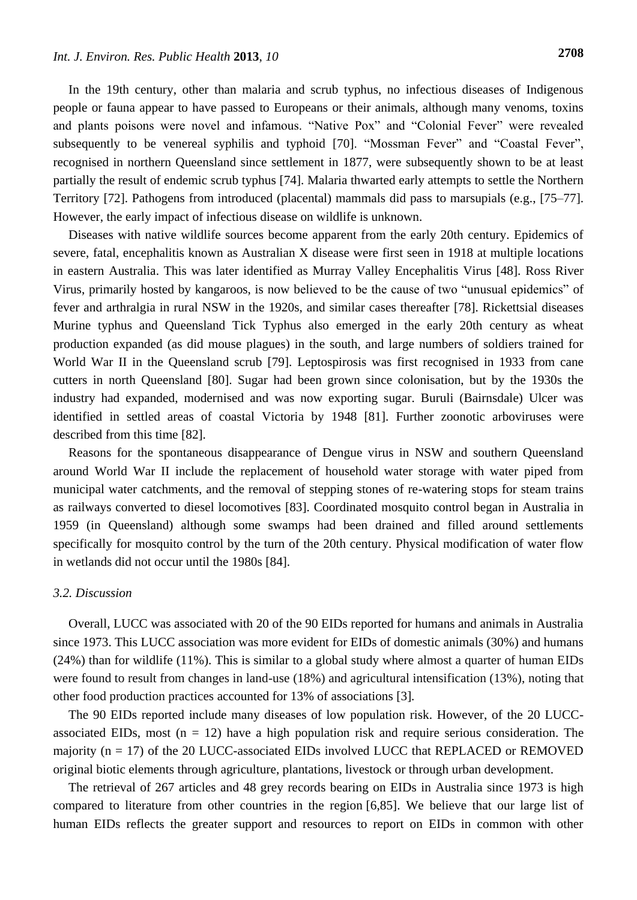In the 19th century, other than malaria and scrub typhus, no infectious diseases of Indigenous people or fauna appear to have passed to Europeans or their animals, although many venoms, toxins and plants poisons were novel and infamous. "Native Pox" and "Colonial Fever" were revealed subsequently to be venereal syphilis and typhoid [70]. "Mossman Fever" and "Coastal Fever", recognised in northern Queensland since settlement in 1877, were subsequently shown to be at least partially the result of endemic scrub typhus [74]. Malaria thwarted early attempts to settle the Northern Territory [72]. Pathogens from introduced (placental) mammals did pass to marsupials (e.g., [75–77]. However, the early impact of infectious disease on wildlife is unknown.

Diseases with native wildlife sources become apparent from the early 20th century. Epidemics of severe, fatal, encephalitis known as Australian X disease were first seen in 1918 at multiple locations in eastern Australia. This was later identified as Murray Valley Encephalitis Virus [48]. Ross River Virus, primarily hosted by kangaroos, is now believed to be the cause of two "unusual epidemics" of fever and arthralgia in rural NSW in the 1920s, and similar cases thereafter [78]. Rickettsial diseases Murine typhus and Queensland Tick Typhus also emerged in the early 20th century as wheat production expanded (as did mouse plagues) in the south, and large numbers of soldiers trained for World War II in the Queensland scrub [79]. Leptospirosis was first recognised in 1933 from cane cutters in north Queensland [80]. Sugar had been grown since colonisation, but by the 1930s the industry had expanded, modernised and was now exporting sugar. Buruli (Bairnsdale) Ulcer was identified in settled areas of coastal Victoria by 1948 [81]. Further zoonotic arboviruses were described from this time [82].

Reasons for the spontaneous disappearance of Dengue virus in NSW and southern Queensland around World War II include the replacement of household water storage with water piped from municipal water catchments, and the removal of stepping stones of re-watering stops for steam trains as railways converted to diesel locomotives [83]. Coordinated mosquito control began in Australia in 1959 (in Queensland) although some swamps had been drained and filled around settlements specifically for mosquito control by the turn of the 20th century. Physical modification of water flow in wetlands did not occur until the 1980s [84].

# *3.2. Discussion*

Overall, LUCC was associated with 20 of the 90 EIDs reported for humans and animals in Australia since 1973. This LUCC association was more evident for EIDs of domestic animals (30%) and humans (24%) than for wildlife (11%). This is similar to a global study where almost a quarter of human EIDs were found to result from changes in land-use (18%) and agricultural intensification (13%), noting that other food production practices accounted for 13% of associations [3].

The 90 EIDs reported include many diseases of low population risk. However, of the 20 LUCCassociated EIDs, most  $(n = 12)$  have a high population risk and require serious consideration. The majority  $(n = 17)$  of the 20 LUCC-associated EIDs involved LUCC that REPLACED or REMOVED original biotic elements through agriculture, plantations, livestock or through urban development.

The retrieval of 267 articles and 48 grey records bearing on EIDs in Australia since 1973 is high compared to literature from other countries in the region [6,85]. We believe that our large list of human EIDs reflects the greater support and resources to report on EIDs in common with other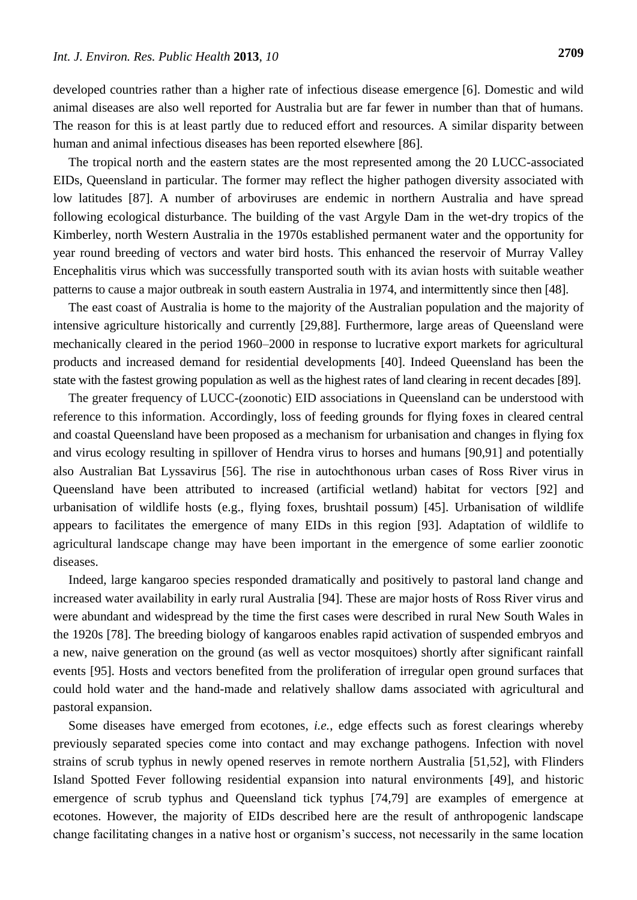developed countries rather than a higher rate of infectious disease emergence [6]. Domestic and wild animal diseases are also well reported for Australia but are far fewer in number than that of humans. The reason for this is at least partly due to reduced effort and resources. A similar disparity between human and animal infectious diseases has been reported elsewhere [86].

The tropical north and the eastern states are the most represented among the 20 LUCC-associated EIDs, Queensland in particular. The former may reflect the higher pathogen diversity associated with low latitudes [87]. A number of arboviruses are endemic in northern Australia and have spread following ecological disturbance. The building of the vast Argyle Dam in the wet-dry tropics of the Kimberley, north Western Australia in the 1970s established permanent water and the opportunity for year round breeding of vectors and water bird hosts. This enhanced the reservoir of Murray Valley Encephalitis virus which was successfully transported south with its avian hosts with suitable weather patterns to cause a major outbreak in south eastern Australia in 1974, and intermittently since then [48].

The east coast of Australia is home to the majority of the Australian population and the majority of intensive agriculture historically and currently [29,88]. Furthermore, large areas of Queensland were mechanically cleared in the period 1960–2000 in response to lucrative export markets for agricultural products and increased demand for residential developments [40]. Indeed Queensland has been the state with the fastest growing population as well as the highest rates of land clearing in recent decades [89].

The greater frequency of LUCC-(zoonotic) EID associations in Queensland can be understood with reference to this information. Accordingly, loss of feeding grounds for flying foxes in cleared central and coastal Queensland have been proposed as a mechanism for urbanisation and changes in flying fox and virus ecology resulting in spillover of Hendra virus to horses and humans [90,91] and potentially also Australian Bat Lyssavirus [56]. The rise in autochthonous urban cases of Ross River virus in Queensland have been attributed to increased (artificial wetland) habitat for vectors [92] and urbanisation of wildlife hosts (e.g., flying foxes, brushtail possum) [45]. Urbanisation of wildlife appears to facilitates the emergence of many EIDs in this region [93]. Adaptation of wildlife to agricultural landscape change may have been important in the emergence of some earlier zoonotic diseases.

Indeed, large kangaroo species responded dramatically and positively to pastoral land change and increased water availability in early rural Australia [94]. These are major hosts of Ross River virus and were abundant and widespread by the time the first cases were described in rural New South Wales in the 1920s [78]. The breeding biology of kangaroos enables rapid activation of suspended embryos and a new, naive generation on the ground (as well as vector mosquitoes) shortly after significant rainfall events [95]. Hosts and vectors benefited from the proliferation of irregular open ground surfaces that could hold water and the hand-made and relatively shallow dams associated with agricultural and pastoral expansion.

Some diseases have emerged from ecotones, *i.e.*, edge effects such as forest clearings whereby previously separated species come into contact and may exchange pathogens. Infection with novel strains of scrub typhus in newly opened reserves in remote northern Australia [51,52], with Flinders Island Spotted Fever following residential expansion into natural environments [49], and historic emergence of scrub typhus and Queensland tick typhus [74,79] are examples of emergence at ecotones. However, the majority of EIDs described here are the result of anthropogenic landscape change facilitating changes in a native host or organism's success, not necessarily in the same location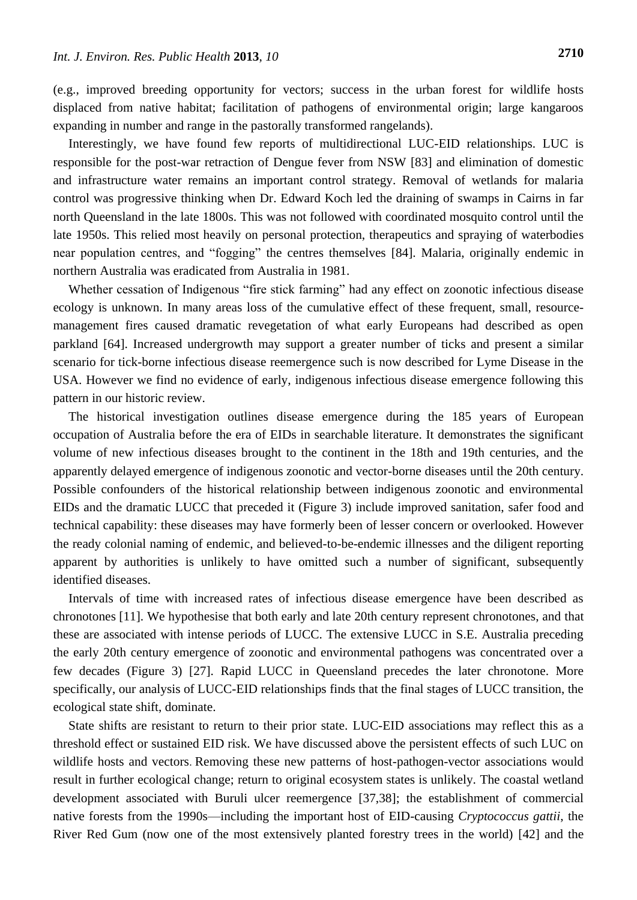(e.g., improved breeding opportunity for vectors; success in the urban forest for wildlife hosts displaced from native habitat; facilitation of pathogens of environmental origin; large kangaroos expanding in number and range in the pastorally transformed rangelands).

Interestingly, we have found few reports of multidirectional LUC-EID relationships. LUC is responsible for the post-war retraction of Dengue fever from NSW [83] and elimination of domestic and infrastructure water remains an important control strategy. Removal of wetlands for malaria control was progressive thinking when Dr. Edward Koch led the draining of swamps in Cairns in far north Queensland in the late 1800s. This was not followed with coordinated mosquito control until the late 1950s. This relied most heavily on personal protection, therapeutics and spraying of waterbodies near population centres, and "fogging" the centres themselves [84]. Malaria, originally endemic in northern Australia was eradicated from Australia in 1981.

Whether cessation of Indigenous "fire stick farming" had any effect on zoonotic infectious disease ecology is unknown. In many areas loss of the cumulative effect of these frequent, small, resourcemanagement fires caused dramatic revegetation of what early Europeans had described as open parkland [64]. Increased undergrowth may support a greater number of ticks and present a similar scenario for tick-borne infectious disease reemergence such is now described for Lyme Disease in the USA. However we find no evidence of early, indigenous infectious disease emergence following this pattern in our historic review.

The historical investigation outlines disease emergence during the 185 years of European occupation of Australia before the era of EIDs in searchable literature. It demonstrates the significant volume of new infectious diseases brought to the continent in the 18th and 19th centuries, and the apparently delayed emergence of indigenous zoonotic and vector-borne diseases until the 20th century. Possible confounders of the historical relationship between indigenous zoonotic and environmental EIDs and the dramatic LUCC that preceded it (Figure 3) include improved sanitation, safer food and technical capability: these diseases may have formerly been of lesser concern or overlooked. However the ready colonial naming of endemic, and believed-to-be-endemic illnesses and the diligent reporting apparent by authorities is unlikely to have omitted such a number of significant, subsequently identified diseases.

Intervals of time with increased rates of infectious disease emergence have been described as chronotones [11]. We hypothesise that both early and late 20th century represent chronotones, and that these are associated with intense periods of LUCC. The extensive LUCC in S.E. Australia preceding the early 20th century emergence of zoonotic and environmental pathogens was concentrated over a few decades (Figure 3) [27]. Rapid LUCC in Queensland precedes the later chronotone. More specifically, our analysis of LUCC-EID relationships finds that the final stages of LUCC transition, the ecological state shift, dominate.

State shifts are resistant to return to their prior state. LUC-EID associations may reflect this as a threshold effect or sustained EID risk. We have discussed above the persistent effects of such LUC on wildlife hosts and vectors. Removing these new patterns of host-pathogen-vector associations would result in further ecological change; return to original ecosystem states is unlikely. The coastal wetland development associated with Buruli ulcer reemergence [37,38]; the establishment of commercial native forests from the 1990s—including the important host of EID-causing *Cryptococcus gattii*, the River Red Gum (now one of the most extensively planted forestry trees in the world) [42] and the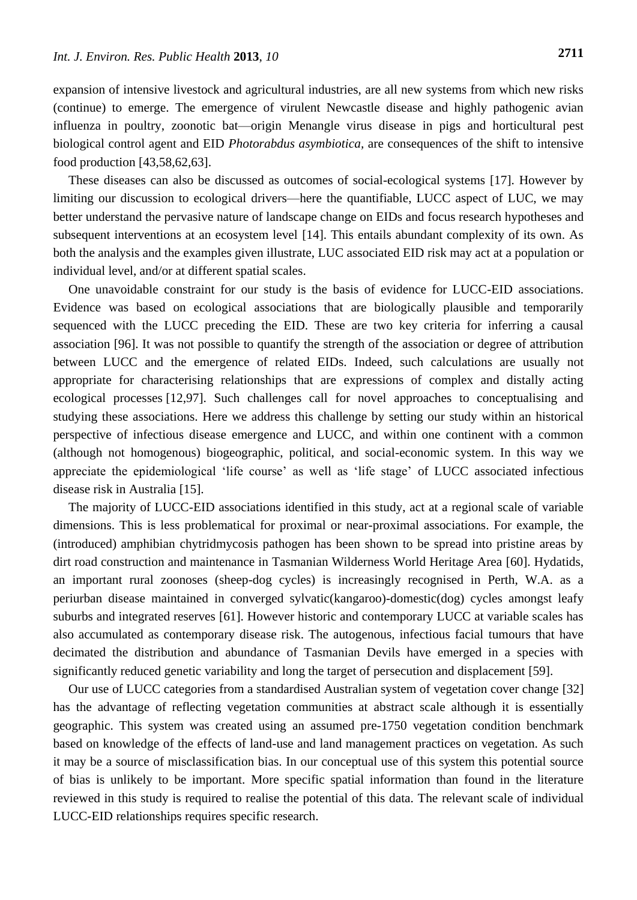expansion of intensive livestock and agricultural industries, are all new systems from which new risks (continue) to emerge. The emergence of virulent Newcastle disease and highly pathogenic avian influenza in poultry, zoonotic bat—origin Menangle virus disease in pigs and horticultural pest biological control agent and EID *Photorabdus asymbiotica,* are consequences of the shift to intensive food production [43,58,62,63].

These diseases can also be discussed as outcomes of social-ecological systems [17]. However by limiting our discussion to ecological drivers—here the quantifiable, LUCC aspect of LUC, we may better understand the pervasive nature of landscape change on EIDs and focus research hypotheses and subsequent interventions at an ecosystem level [14]. This entails abundant complexity of its own. As both the analysis and the examples given illustrate, LUC associated EID risk may act at a population or individual level, and/or at different spatial scales.

One unavoidable constraint for our study is the basis of evidence for LUCC-EID associations. Evidence was based on ecological associations that are biologically plausible and temporarily sequenced with the LUCC preceding the EID. These are two key criteria for inferring a causal association [96]. It was not possible to quantify the strength of the association or degree of attribution between LUCC and the emergence of related EIDs. Indeed, such calculations are usually not appropriate for characterising relationships that are expressions of complex and distally acting ecological processes [12,97]. Such challenges call for novel approaches to conceptualising and studying these associations. Here we address this challenge by setting our study within an historical perspective of infectious disease emergence and LUCC, and within one continent with a common (although not homogenous) biogeographic, political, and social-economic system. In this way we appreciate the epidemiological 'life course' as well as 'life stage' of LUCC associated infectious disease risk in Australia [15].

The majority of LUCC-EID associations identified in this study, act at a regional scale of variable dimensions. This is less problematical for proximal or near-proximal associations. For example, the (introduced) amphibian chytridmycosis pathogen has been shown to be spread into pristine areas by dirt road construction and maintenance in Tasmanian Wilderness World Heritage Area [60]. Hydatids, an important rural zoonoses (sheep-dog cycles) is increasingly recognised in Perth, W.A. as a periurban disease maintained in converged sylvatic(kangaroo)-domestic(dog) cycles amongst leafy suburbs and integrated reserves [61]. However historic and contemporary LUCC at variable scales has also accumulated as contemporary disease risk. The autogenous, infectious facial tumours that have decimated the distribution and abundance of Tasmanian Devils have emerged in a species with significantly reduced genetic variability and long the target of persecution and displacement [59].

Our use of LUCC categories from a standardised Australian system of vegetation cover change [32] has the advantage of reflecting vegetation communities at abstract scale although it is essentially geographic. This system was created using an assumed pre-1750 vegetation condition benchmark based on knowledge of the effects of land-use and land management practices on vegetation. As such it may be a source of misclassification bias. In our conceptual use of this system this potential source of bias is unlikely to be important. More specific spatial information than found in the literature reviewed in this study is required to realise the potential of this data. The relevant scale of individual LUCC-EID relationships requires specific research.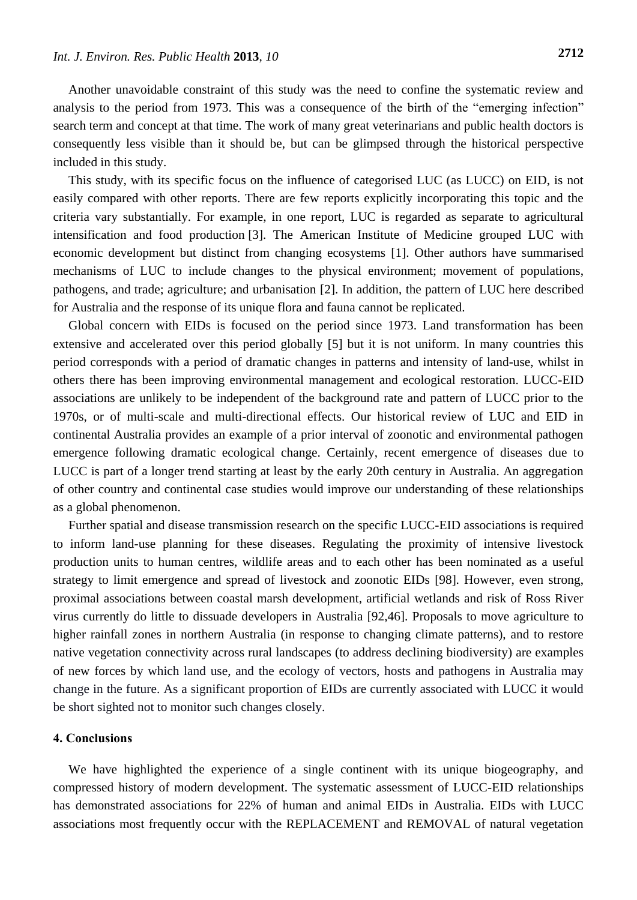Another unavoidable constraint of this study was the need to confine the systematic review and analysis to the period from 1973. This was a consequence of the birth of the "emerging infection" search term and concept at that time. The work of many great veterinarians and public health doctors is consequently less visible than it should be, but can be glimpsed through the historical perspective included in this study.

This study, with its specific focus on the influence of categorised LUC (as LUCC) on EID, is not easily compared with other reports. There are few reports explicitly incorporating this topic and the criteria vary substantially. For example, in one report, LUC is regarded as separate to agricultural intensification and food production [3]. The American Institute of Medicine grouped LUC with economic development but distinct from changing ecosystems [1]. Other authors have summarised mechanisms of LUC to include changes to the physical environment; movement of populations, pathogens, and trade; agriculture; and urbanisation [2]. In addition, the pattern of LUC here described for Australia and the response of its unique flora and fauna cannot be replicated.

Global concern with EIDs is focused on the period since 1973. Land transformation has been extensive and accelerated over this period globally [5] but it is not uniform. In many countries this period corresponds with a period of dramatic changes in patterns and intensity of land-use, whilst in others there has been improving environmental management and ecological restoration. LUCC-EID associations are unlikely to be independent of the background rate and pattern of LUCC prior to the 1970s, or of multi-scale and multi-directional effects. Our historical review of LUC and EID in continental Australia provides an example of a prior interval of zoonotic and environmental pathogen emergence following dramatic ecological change. Certainly, recent emergence of diseases due to LUCC is part of a longer trend starting at least by the early 20th century in Australia. An aggregation of other country and continental case studies would improve our understanding of these relationships as a global phenomenon.

Further spatial and disease transmission research on the specific LUCC-EID associations is required to inform land-use planning for these diseases. Regulating the proximity of intensive livestock production units to human centres, wildlife areas and to each other has been nominated as a useful strategy to limit emergence and spread of livestock and zoonotic EIDs [98]. However, even strong, proximal associations between coastal marsh development, artificial wetlands and risk of Ross River virus currently do little to dissuade developers in Australia [92,46]. Proposals to move agriculture to higher rainfall zones in northern Australia (in response to changing climate patterns), and to restore native vegetation connectivity across rural landscapes (to address declining biodiversity) are examples of new forces by which land use, and the ecology of vectors, hosts and pathogens in Australia may change in the future. As a significant proportion of EIDs are currently associated with LUCC it would be short sighted not to monitor such changes closely.

# **4. Conclusions**

We have highlighted the experience of a single continent with its unique biogeography, and compressed history of modern development. The systematic assessment of LUCC-EID relationships has demonstrated associations for 22% of human and animal EIDs in Australia. EIDs with LUCC associations most frequently occur with the REPLACEMENT and REMOVAL of natural vegetation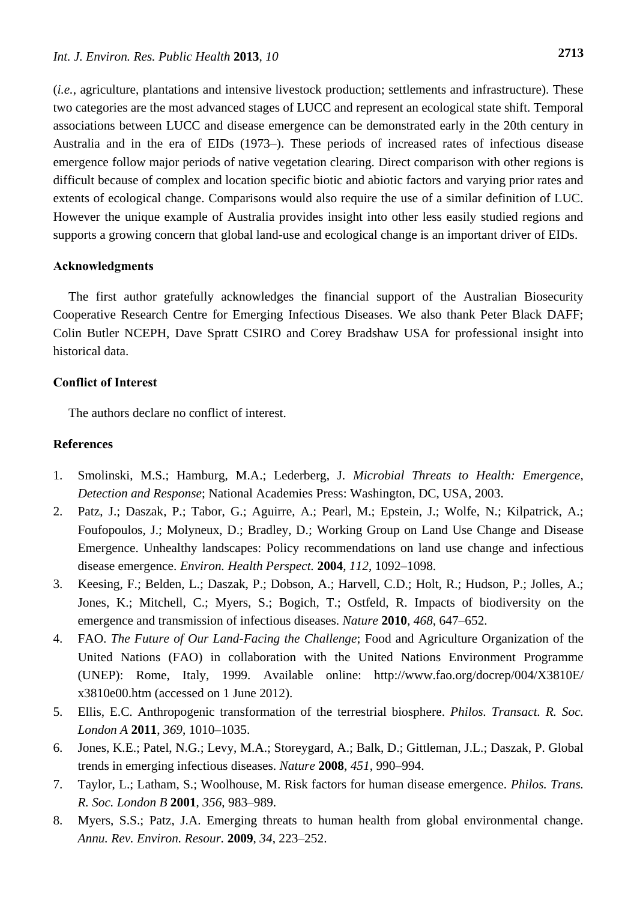(*i.e.*, agriculture, plantations and intensive livestock production; settlements and infrastructure). These two categories are the most advanced stages of LUCC and represent an ecological state shift. Temporal associations between LUCC and disease emergence can be demonstrated early in the 20th century in Australia and in the era of EIDs (1973–). These periods of increased rates of infectious disease emergence follow major periods of native vegetation clearing. Direct comparison with other regions is difficult because of complex and location specific biotic and abiotic factors and varying prior rates and extents of ecological change. Comparisons would also require the use of a similar definition of LUC. However the unique example of Australia provides insight into other less easily studied regions and supports a growing concern that global land-use and ecological change is an important driver of EIDs.

#### **Acknowledgments**

The first author gratefully acknowledges the financial support of the Australian Biosecurity Cooperative Research Centre for Emerging Infectious Diseases. We also thank Peter Black DAFF; Colin Butler NCEPH, Dave Spratt CSIRO and Corey Bradshaw USA for professional insight into historical data.

# **Conflict of Interest**

The authors declare no conflict of interest.

#### **References**

- 1. Smolinski, M.S.; Hamburg, M.A.; Lederberg, J. *Microbial Threats to Health: Emergence, Detection and Response*; National Academies Press: Washington, DC, USA, 2003.
- 2. Patz, J.; Daszak, P.; Tabor, G.; Aguirre, A.; Pearl, M.; Epstein, J.; Wolfe, N.; Kilpatrick, A.; Foufopoulos, J.; Molyneux, D.; Bradley, D.; Working Group on Land Use Change and Disease Emergence. Unhealthy landscapes: Policy recommendations on land use change and infectious disease emergence. *Environ. Health Perspect.* **2004**, *112*, 1092–1098.
- 3. Keesing, F.; Belden, L.; Daszak, P.; Dobson, A.; Harvell, C.D.; Holt, R.; Hudson, P.; Jolles, A.; Jones, K.; Mitchell, C.; Myers, S.; Bogich, T.; Ostfeld, R. Impacts of biodiversity on the emergence and transmission of infectious diseases. *Nature* **2010**, *468*, 647–652.
- 4. FAO. *The Future of Our Land-Facing the Challenge*; Food and Agriculture Organization of the United Nations (FAO) in collaboration with the United Nations Environment Programme (UNEP): Rome, Italy, 1999. Available online: http://www.fao.org/docrep/004/X3810E/ x3810e00.htm (accessed on 1 June 2012).
- 5. Ellis, E.C. Anthropogenic transformation of the terrestrial biosphere. *Philos. Transact. R. Soc. London A* **2011**, *369*, 1010–1035.
- 6. Jones, K.E.; Patel, N.G.; Levy, M.A.; Storeygard, A.; Balk, D.; Gittleman, J.L.; Daszak, P. Global trends in emerging infectious diseases. *Nature* **2008**, *451*, 990–994.
- 7. Taylor, L.; Latham, S.; Woolhouse, M. Risk factors for human disease emergence. *Philos. Trans. R. Soc. London B* **2001**, *356*, 983–989.
- 8. Myers, S.S.; Patz, J.A. Emerging threats to human health from global environmental change. *Annu. Rev. Environ. Resour.* **2009**, *34*, 223–252.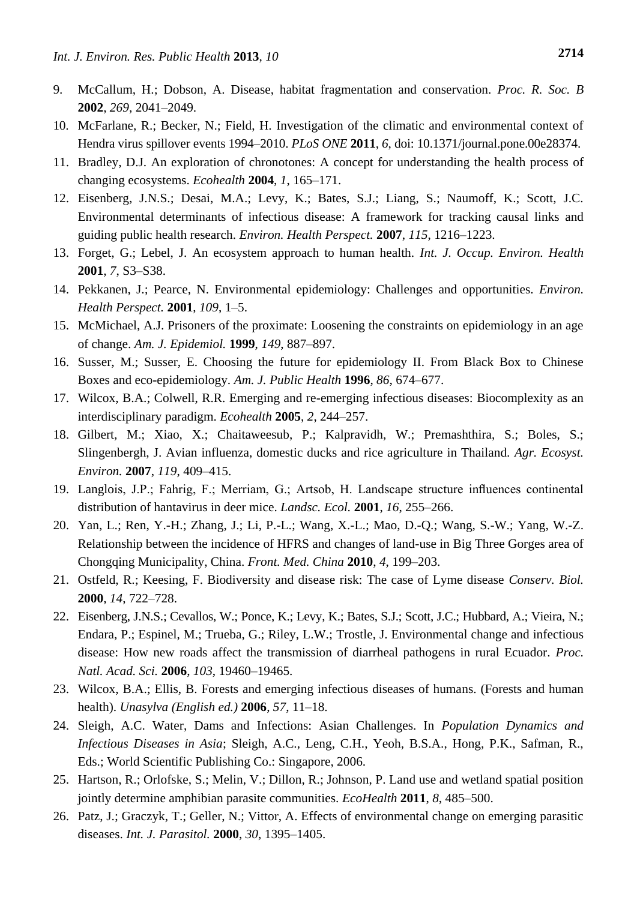- 9. McCallum, H.; Dobson, A. Disease, habitat fragmentation and conservation. *Proc. R. Soc. B*  **2002**, *269*, 2041–2049.
- 10. McFarlane, R.; Becker, N.; Field, H. Investigation of the climatic and environmental context of Hendra virus spillover events 1994–2010. *PLoS ONE* **2011**, *6*, doi: 10.1371/journal.pone.00e28374.
- 11. Bradley, D.J. An exploration of chronotones: A concept for understanding the health process of changing ecosystems. *Ecohealth* **2004**, *1*, 165–171.
- 12. Eisenberg, J.N.S.; Desai, M.A.; Levy, K.; Bates, S.J.; Liang, S.; Naumoff, K.; Scott, J.C. Environmental determinants of infectious disease: A framework for tracking causal links and guiding public health research. *Environ. Health Perspect.* **2007**, *115*, 1216–1223.
- 13. Forget, G.; Lebel, J. An ecosystem approach to human health. *Int. J. Occup. Environ. Health*  **2001**, *7*, S3–S38.
- 14. Pekkanen, J.; Pearce, N. Environmental epidemiology: Challenges and opportunities. *Environ. Health Perspect.* **2001**, *109*, 1–5.
- 15. McMichael, A.J. Prisoners of the proximate: Loosening the constraints on epidemiology in an age of change. *Am. J. Epidemiol.* **1999**, *149*, 887–897.
- 16. Susser, M.; Susser, E. Choosing the future for epidemiology II. From Black Box to Chinese Boxes and eco-epidemiology. *Am. J. Public Health* **1996**, *86*, 674–677.
- 17. Wilcox, B.A.; Colwell, R.R. Emerging and re-emerging infectious diseases: Biocomplexity as an interdisciplinary paradigm. *Ecohealth* **2005**, *2*, 244–257.
- 18. Gilbert, M.; Xiao, X.; Chaitaweesub, P.; Kalpravidh, W.; Premashthira, S.; Boles, S.; Slingenbergh, J. Avian influenza, domestic ducks and rice agriculture in Thailand. *Agr. Ecosyst. Environ.* **2007**, *119*, 409–415.
- 19. Langlois, J.P.; Fahrig, F.; Merriam, G.; Artsob, H. Landscape structure influences continental distribution of hantavirus in deer mice. *Landsc. Ecol.* **2001**, *16*, 255–266.
- 20. Yan, L.; Ren, Y.-H.; Zhang, J.; Li, P.-L.; Wang, X.-L.; Mao, D.-Q.; Wang, S.-W.; Yang, W.-Z. Relationship between the incidence of HFRS and changes of land-use in Big Three Gorges area of Chongqing Municipality, China. *Front. Med. China* **2010**, *4*, 199–203.
- 21. Ostfeld, R.; Keesing, F. Biodiversity and disease risk: The case of Lyme disease *Conserv. Biol.*  **2000**, *14*, 722–728.
- 22. Eisenberg, J.N.S.; Cevallos, W.; Ponce, K.; Levy, K.; Bates, S.J.; Scott, J.C.; Hubbard, A.; Vieira, N.; Endara, P.; Espinel, M.; Trueba, G.; Riley, L.W.; Trostle, J. Environmental change and infectious disease: How new roads affect the transmission of diarrheal pathogens in rural Ecuador. *Proc. Natl. Acad. Sci.* **2006**, *103*, 19460–19465.
- 23. Wilcox, B.A.; Ellis, B. Forests and emerging infectious diseases of humans. (Forests and human health). *Unasylva (English ed.)* **2006**, *57*, 11–18.
- 24. Sleigh, A.C. Water, Dams and Infections: Asian Challenges. In *Population Dynamics and Infectious Diseases in Asia*; Sleigh, A.C., Leng, C.H., Yeoh, B.S.A., Hong, P.K., Safman, R., Eds.; World Scientific Publishing Co.: Singapore, 2006.
- 25. Hartson, R.; Orlofske, S.; Melin, V.; Dillon, R.; Johnson, P. Land use and wetland spatial position jointly determine amphibian parasite communities. *EcoHealth* **2011**, *8*, 485–500.
- 26. Patz, J.; Graczyk, T.; Geller, N.; Vittor, A. Effects of environmental change on emerging parasitic diseases. *Int. J. Parasitol.* **2000**, *30*, 1395–1405.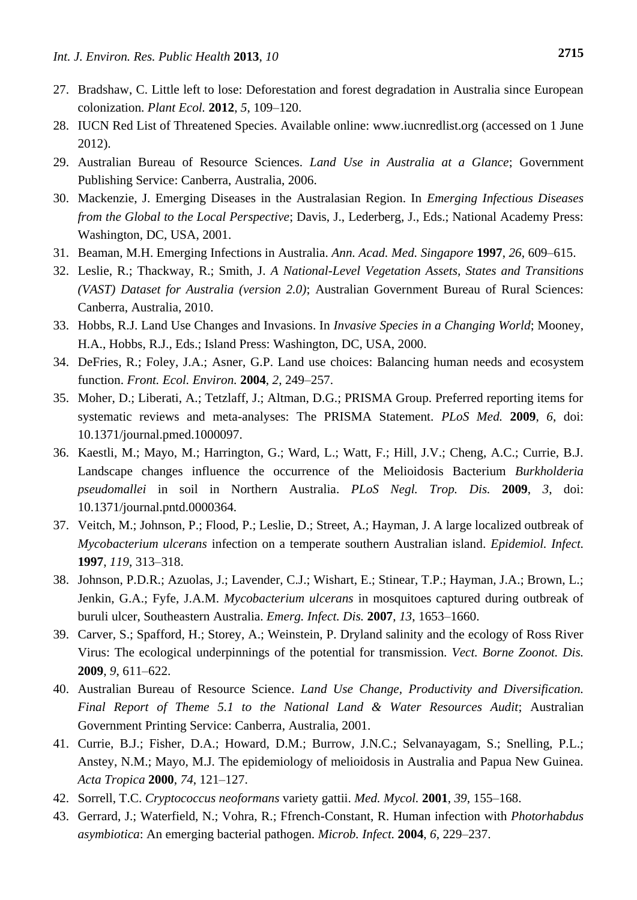- 27. Bradshaw, C. Little left to lose: Deforestation and forest degradation in Australia since European colonization. *Plant Ecol.* **2012**, *5*, 109–120.
- 28. IUCN Red List of Threatened Species. Available online: www.iucnredlist.org (accessed on 1 June 2012).
- 29. Australian Bureau of Resource Sciences. *Land Use in Australia at a Glance*; Government Publishing Service: Canberra, Australia, 2006.
- 30. Mackenzie, J. Emerging Diseases in the Australasian Region. In *Emerging Infectious Diseases from the Global to the Local Perspective*; Davis, J., Lederberg, J., Eds.; National Academy Press: Washington, DC, USA, 2001.
- 31. Beaman, M.H. Emerging Infections in Australia. *Ann. Acad. Med. Singapore* **1997**, *26*, 609–615.
- 32. Leslie, R.; Thackway, R.; Smith, J. *A National-Level Vegetation Assets, States and Transitions (VAST) Dataset for Australia (version 2.0)*; Australian Government Bureau of Rural Sciences: Canberra, Australia, 2010.
- 33. Hobbs, R.J. Land Use Changes and Invasions. In *Invasive Species in a Changing World*; Mooney, H.A., Hobbs, R.J., Eds.; Island Press: Washington, DC, USA, 2000.
- 34. DeFries, R.; Foley, J.A.; Asner, G.P. Land use choices: Balancing human needs and ecosystem function. *Front. Ecol. Environ.* **2004**, *2*, 249–257.
- 35. Moher, D.; Liberati, A.; Tetzlaff, J.; Altman, D.G.; PRISMA Group. Preferred reporting items for systematic reviews and meta-analyses: The PRISMA Statement. *PLoS Med.* **2009**, *6*, doi: 10.1371/journal.pmed.1000097.
- 36. Kaestli, M.; Mayo, M.; Harrington, G.; Ward, L.; Watt, F.; Hill, J.V.; Cheng, A.C.; Currie, B.J. Landscape changes influence the occurrence of the Melioidosis Bacterium *Burkholderia pseudomallei* in soil in Northern Australia. *PLoS Negl. Trop. Dis.* **2009**, *3*, doi: 10.1371/journal.pntd.0000364.
- 37. Veitch, M.; Johnson, P.; Flood, P.; Leslie, D.; Street, A.; Hayman, J. A large localized outbreak of *Mycobacterium ulcerans* infection on a temperate southern Australian island. *Epidemiol. Infect.*  **1997**, *119*, 313–318.
- 38. Johnson, P.D.R.; Azuolas, J.; Lavender, C.J.; Wishart, E.; Stinear, T.P.; Hayman, J.A.; Brown, L.; Jenkin, G.A.; Fyfe, J.A.M. *Mycobacterium ulcerans* in mosquitoes captured during outbreak of buruli ulcer, Southeastern Australia. *Emerg. Infect. Dis.* **2007**, *13*, 1653–1660.
- 39. Carver, S.; Spafford, H.; Storey, A.; Weinstein, P. Dryland salinity and the ecology of Ross River Virus: The ecological underpinnings of the potential for transmission. *Vect. Borne Zoonot. Dis.*  **2009**, *9*, 611–622.
- 40. Australian Bureau of Resource Science. *Land Use Change, Productivity and Diversification. Final Report of Theme 5.1 to the National Land & Water Resources Audit*; Australian Government Printing Service: Canberra, Australia, 2001.
- 41. Currie, B.J.; Fisher, D.A.; Howard, D.M.; Burrow, J.N.C.; Selvanayagam, S.; Snelling, P.L.; Anstey, N.M.; Mayo, M.J. The epidemiology of melioidosis in Australia and Papua New Guinea. *Acta Tropica* **2000**, *74*, 121–127.
- 42. Sorrell, T.C. *Cryptococcus neoformans* variety gattii. *Med. Mycol.* **2001**, *39*, 155–168.
- 43. Gerrard, J.; Waterfield, N.; Vohra, R.; Ffrench-Constant, R. Human infection with *Photorhabdus asymbiotica*: An emerging bacterial pathogen. *Microb. Infect.* **2004**, *6*, 229–237.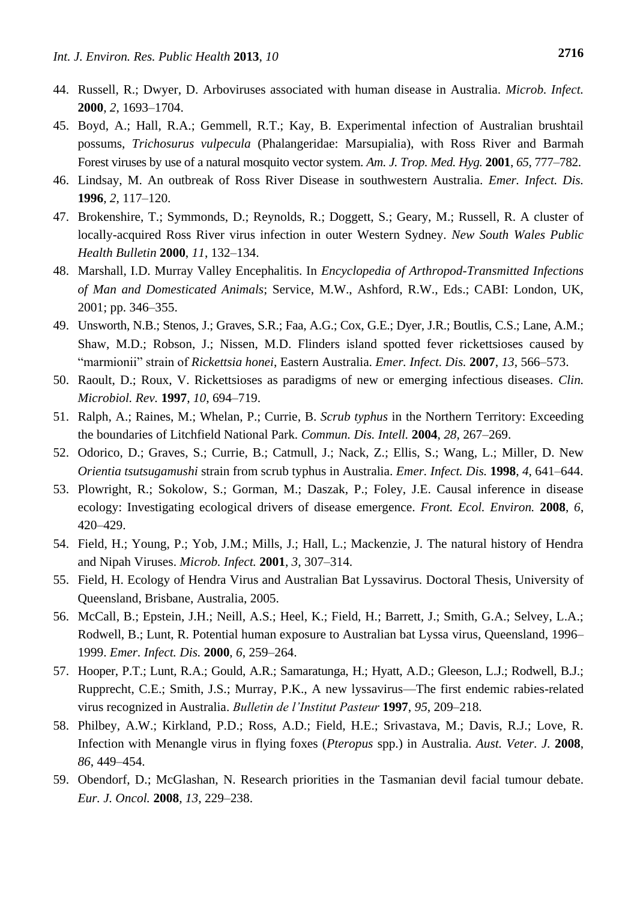- 45. Boyd, A.; Hall, R.A.; Gemmell, R.T.; Kay, B. Experimental infection of Australian brushtail possums, *Trichosurus vulpecula* (Phalangeridae: Marsupialia), with Ross River and Barmah Forest viruses by use of a natural mosquito vector system. *Am. J. Trop. Med. Hyg.* **2001**, *65*, 777–782.
- 46. Lindsay, M. An outbreak of Ross River Disease in southwestern Australia. *Emer. Infect. Dis.*  **1996**, *2*, 117–120.
- 47. Brokenshire, T.; Symmonds, D.; Reynolds, R.; Doggett, S.; Geary, M.; Russell, R. A cluster of locally-acquired Ross River virus infection in outer Western Sydney. *New South Wales Public Health Bulletin* **2000**, *11*, 132–134.
- 48. Marshall, I.D. Murray Valley Encephalitis. In *Encyclopedia of Arthropod-Transmitted Infections of Man and Domesticated Animals*; Service, M.W., Ashford, R.W., Eds.; CABI: London, UK, 2001; pp. 346–355.
- 49. Unsworth, N.B.; Stenos, J.; Graves, S.R.; Faa, A.G.; Cox, G.E.; Dyer, J.R.; Boutlis, C.S.; Lane, A.M.; Shaw, M.D.; Robson, J.; Nissen, M.D. Flinders island spotted fever rickettsioses caused by "marmionii" strain of *Rickettsia honei*, Eastern Australia. *Emer. Infect. Dis.* **2007**, *13*, 566–573.
- 50. Raoult, D.; Roux, V. Rickettsioses as paradigms of new or emerging infectious diseases. *Clin. Microbiol. Rev.* **1997**, *10*, 694–719.
- 51. Ralph, A.; Raines, M.; Whelan, P.; Currie, B. *Scrub typhus* in the Northern Territory: Exceeding the boundaries of Litchfield National Park. *Commun. Dis. Intell.* **2004**, *28*, 267–269.
- 52. Odorico, D.; Graves, S.; Currie, B.; Catmull, J.; Nack, Z.; Ellis, S.; Wang, L.; Miller, D. New *Orientia tsutsugamushi* strain from scrub typhus in Australia. *Emer. Infect. Dis.* **1998**, *4*, 641–644.
- 53. Plowright, R.; Sokolow, S.; Gorman, M.; Daszak, P.; Foley, J.E. Causal inference in disease ecology: Investigating ecological drivers of disease emergence. *Front. Ecol. Environ.* **2008**, *6*, 420–429.
- 54. Field, H.; Young, P.; Yob, J.M.; Mills, J.; Hall, L.; Mackenzie, J. The natural history of Hendra and Nipah Viruses. *Microb. Infect.* **2001**, *3*, 307–314.
- 55. Field, H. Ecology of Hendra Virus and Australian Bat Lyssavirus. Doctoral Thesis, University of Queensland, Brisbane, Australia, 2005.
- 56. McCall, B.; Epstein, J.H.; Neill, A.S.; Heel, K.; Field, H.; Barrett, J.; Smith, G.A.; Selvey, L.A.; Rodwell, B.; Lunt, R. Potential human exposure to Australian bat Lyssa virus, Queensland, 1996– 1999. *Emer. Infect. Dis.* **2000**, *6*, 259–264.
- 57. Hooper, P.T.; Lunt, R.A.; Gould, A.R.; Samaratunga, H.; Hyatt, A.D.; Gleeson, L.J.; Rodwell, B.J.; Rupprecht, C.E.; Smith, J.S.; Murray, P.K., A new lyssavirus—The first endemic rabies-related virus recognized in Australia. *Bulletin de l'Institut Pasteur* **1997**, *95*, 209–218.
- 58. Philbey, A.W.; Kirkland, P.D.; Ross, A.D.; Field, H.E.; Srivastava, M.; Davis, R.J.; Love, R. Infection with Menangle virus in flying foxes (*Pteropus* spp.) in Australia. *Aust. Veter. J.* **2008**, *86*, 449–454.
- 59. Obendorf, D.; McGlashan, N. Research priorities in the Tasmanian devil facial tumour debate. *Eur. J. Oncol.* **2008**, *13*, 229–238.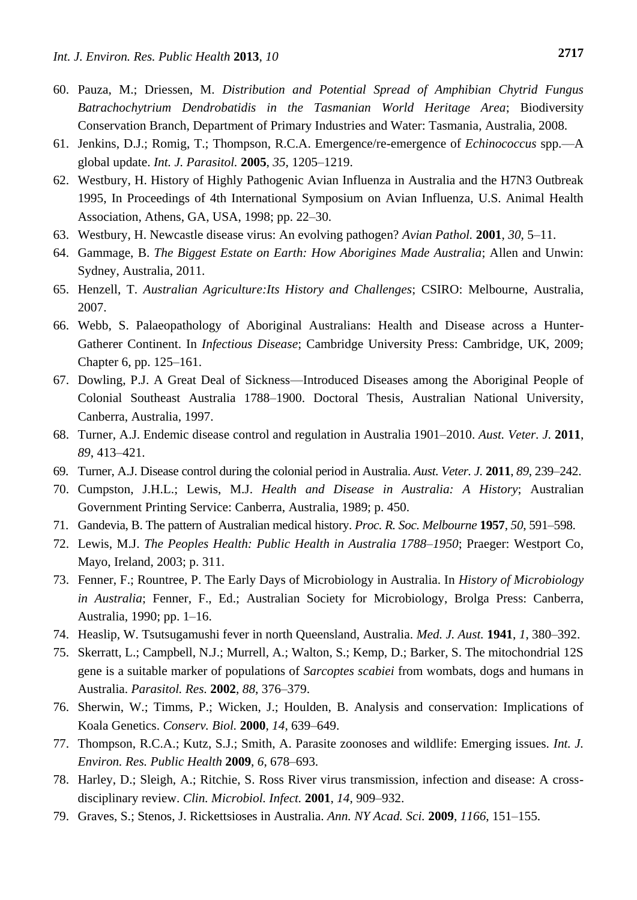- 60. Pauza, M.; Driessen, M. *Distribution and Potential Spread of Amphibian Chytrid Fungus Batrachochytrium Dendrobatidis in the Tasmanian World Heritage Area*; Biodiversity Conservation Branch, Department of Primary Industries and Water: Tasmania, Australia, 2008.
- 61. Jenkins, D.J.; Romig, T.; Thompson, R.C.A. Emergence/re-emergence of *Echinococcus* spp.—A global update. *Int. J. Parasitol.* **2005**, *35*, 1205–1219.
- 62. Westbury, H. History of Highly Pathogenic Avian Influenza in Australia and the H7N3 Outbreak 1995, In Proceedings of 4th International Symposium on Avian Influenza, U.S. Animal Health Association, Athens, GA, USA, 1998; pp. 22–30.
- 63. Westbury, H. Newcastle disease virus: An evolving pathogen? *Avian Pathol.* **2001**, *30*, 5–11.
- 64. Gammage, B. *The Biggest Estate on Earth: How Aborigines Made Australia*; Allen and Unwin: Sydney, Australia, 2011.
- 65. Henzell, T. *Australian Agriculture:Its History and Challenges*; CSIRO: Melbourne, Australia, 2007.
- 66. Webb, S. Palaeopathology of Aboriginal Australians: Health and Disease across a Hunter-Gatherer Continent. In *Infectious Disease*; Cambridge University Press: Cambridge, UK, 2009; Chapter 6, pp. 125–161.
- 67. Dowling, P.J. A Great Deal of Sickness—Introduced Diseases among the Aboriginal People of Colonial Southeast Australia 1788–1900. Doctoral Thesis, Australian National University, Canberra, Australia, 1997.
- 68. Turner, A.J. Endemic disease control and regulation in Australia 1901–2010. *Aust. Veter. J.* **2011**, *89*, 413–421.
- 69. Turner, A.J. Disease control during the colonial period in Australia. *Aust. Veter. J.* **2011**, *89*, 239–242.
- 70. Cumpston, J.H.L.; Lewis, M.J. *Health and Disease in Australia: A History*; Australian Government Printing Service: Canberra, Australia, 1989; p. 450.
- 71. Gandevia, B. The pattern of Australian medical history. *Proc. R. Soc. Melbourne* **1957**, *50*, 591–598.
- 72. Lewis, M.J. *The Peoples Health: Public Health in Australia 1788–1950*; Praeger: Westport Co, Mayo, Ireland, 2003; p. 311.
- 73. Fenner, F.; Rountree, P. The Early Days of Microbiology in Australia. In *History of Microbiology in Australia*; Fenner, F., Ed.; Australian Society for Microbiology, Brolga Press: Canberra, Australia, 1990; pp. 1–16.
- 74. Heaslip, W. Tsutsugamushi fever in north Queensland, Australia. *Med. J. Aust.* **1941**, *1*, 380–392.
- 75. Skerratt, L.; Campbell, N.J.; Murrell, A.; Walton, S.; Kemp, D.; Barker, S. The mitochondrial 12S gene is a suitable marker of populations of *Sarcoptes scabiei* from wombats, dogs and humans in Australia. *Parasitol. Res.* **2002**, *88*, 376–379.
- 76. Sherwin, W.; Timms, P.; Wicken, J.; Houlden, B. Analysis and conservation: Implications of Koala Genetics. *Conserv. Biol.* **2000**, *14*, 639–649.
- 77. Thompson, R.C.A.; Kutz, S.J.; Smith, A. Parasite zoonoses and wildlife: Emerging issues. *Int. J. Environ. Res. Public Health* **2009**, *6*, 678–693.
- 78. Harley, D.; Sleigh, A.; Ritchie, S. Ross River virus transmission, infection and disease: A crossdisciplinary review. *Clin. Microbiol. Infect.* **2001**, *14*, 909–932.
- 79. Graves, S.; Stenos, J. Rickettsioses in Australia. *Ann. NY Acad. Sci.* **2009**, *1166*, 151–155.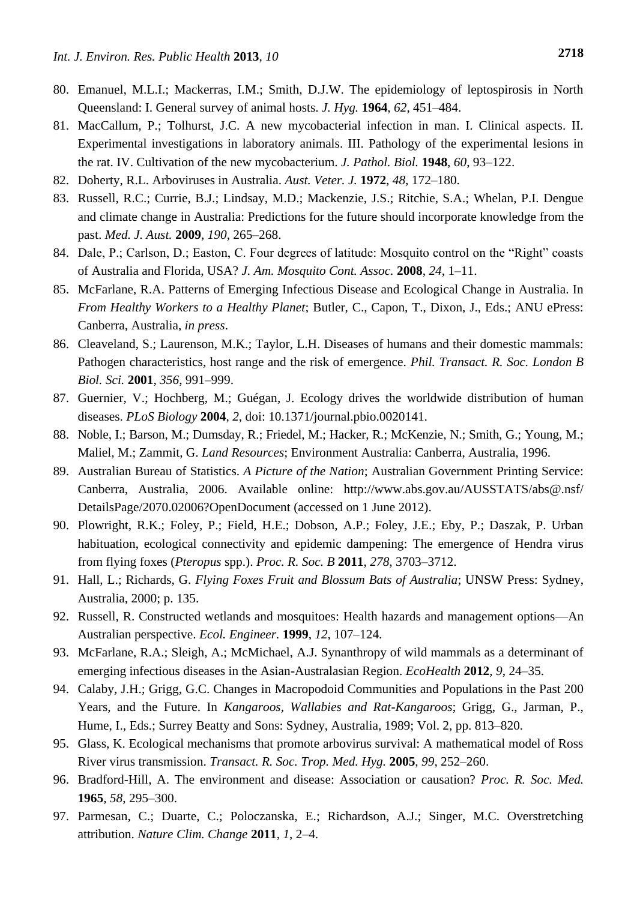- 80. Emanuel, M.L.I.; Mackerras, I.M.; Smith, D.J.W. The epidemiology of leptospirosis in North Queensland: I. General survey of animal hosts. *J. Hyg.* **1964**, *62*, 451–484.
- 81. MacCallum, P.; Tolhurst, J.C. A new mycobacterial infection in man. I. Clinical aspects. II. Experimental investigations in laboratory animals. III. Pathology of the experimental lesions in the rat. IV. Cultivation of the new mycobacterium. *J. Pathol. Biol.* **1948**, *60*, 93–122.
- 82. Doherty, R.L. Arboviruses in Australia. *Aust. Veter. J.* **1972**, *48*, 172–180.
- 83. Russell, R.C.; Currie, B.J.; Lindsay, M.D.; Mackenzie, J.S.; Ritchie, S.A.; Whelan, P.I. Dengue and climate change in Australia: Predictions for the future should incorporate knowledge from the past. *Med. J. Aust.* **2009**, *190*, 265–268.
- 84. Dale, P.; Carlson, D.; Easton, C. Four degrees of latitude: Mosquito control on the "Right" coasts of Australia and Florida, USA? *J. Am. Mosquito Cont. Assoc.* **2008**, *24*, 1–11.
- 85. McFarlane, R.A. Patterns of Emerging Infectious Disease and Ecological Change in Australia. In *From Healthy Workers to a Healthy Planet*; Butler, C., Capon, T., Dixon, J., Eds.; ANU ePress: Canberra, Australia, *in press*.
- 86. Cleaveland, S.; Laurenson, M.K.; Taylor, L.H. Diseases of humans and their domestic mammals: Pathogen characteristics, host range and the risk of emergence. *Phil. Transact. R. Soc. London B Biol. Sci.* **2001**, *356*, 991–999.
- 87. Guernier, V.; Hochberg, M.; Guégan, J. Ecology drives the worldwide distribution of human diseases. *PLoS Biology* **2004**, *2*, doi: 10.1371/journal.pbio.0020141.
- 88. Noble, I.; Barson, M.; Dumsday, R.; Friedel, M.; Hacker, R.; McKenzie, N.; Smith, G.; Young, M.; Maliel, M.; Zammit, G. *Land Resources*; Environment Australia: Canberra, Australia, 1996.
- 89. Australian Bureau of Statistics. *A Picture of the Nation*; Australian Government Printing Service: Canberra, Australia, 2006. Available online: http://www.abs.gov.au/AUSSTATS/abs@.nsf/ DetailsPage/2070.02006?OpenDocument (accessed on 1 June 2012).
- 90. Plowright, R.K.; Foley, P.; Field, H.E.; Dobson, A.P.; Foley, J.E.; Eby, P.; Daszak, P. Urban habituation, ecological connectivity and epidemic dampening: The emergence of Hendra virus from flying foxes (*Pteropus* spp.). *Proc. R. Soc. B* **2011**, *278*, 3703–3712.
- 91. Hall, L.; Richards, G. *Flying Foxes Fruit and Blossum Bats of Australia*; UNSW Press: Sydney, Australia, 2000; p. 135.
- 92. Russell, R. Constructed wetlands and mosquitoes: Health hazards and management options—An Australian perspective. *Ecol. Engineer.* **1999**, *12*, 107–124.
- 93. McFarlane, R.A.; Sleigh, A.; McMichael, A.J. Synanthropy of wild mammals as a determinant of emerging infectious diseases in the Asian-Australasian Region. *EcoHealth* **2012**, *9*, 24–35.
- 94. Calaby, J.H.; Grigg, G.C. Changes in Macropodoid Communities and Populations in the Past 200 Years, and the Future. In *Kangaroos, Wallabies and Rat-Kangaroos*; Grigg, G., Jarman, P., Hume, I., Eds.; Surrey Beatty and Sons: Sydney, Australia, 1989; Vol. 2, pp. 813–820.
- 95. Glass, K. Ecological mechanisms that promote arbovirus survival: A mathematical model of Ross River virus transmission. *Transact. R. Soc. Trop. Med. Hyg.* **2005**, *99*, 252–260.
- 96. Bradford-Hill, A. The environment and disease: Association or causation? *Proc. R. Soc. Med.*  **1965**, *58*, 295–300.
- 97. Parmesan, C.; Duarte, C.; Poloczanska, E.; Richardson, A.J.; Singer, M.C. Overstretching attribution. *Nature Clim. Change* **2011**, *1*, 2–4.